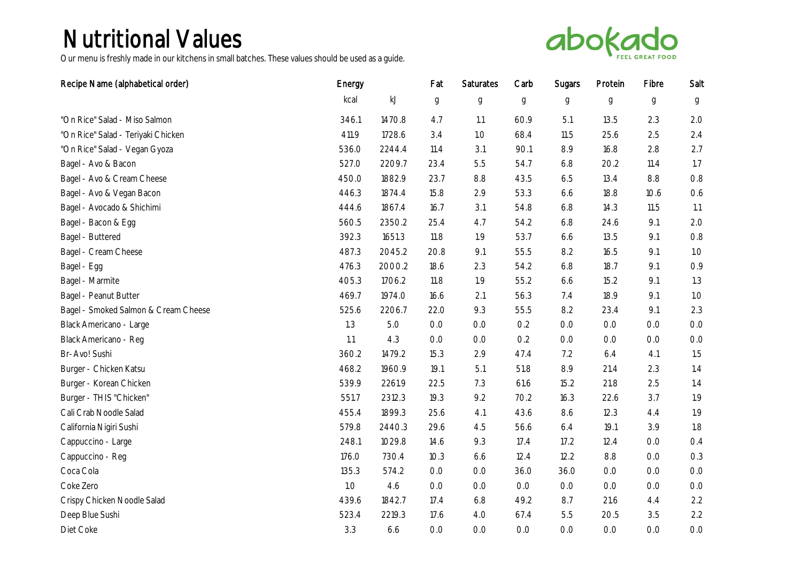

| Recipe Name (alphabetical order)     | Energy |               | Fat              | Saturates        | Carb             | Sugars      | Protein          | Fibre            | Salt  |
|--------------------------------------|--------|---------------|------------------|------------------|------------------|-------------|------------------|------------------|-------|
|                                      | kcal   | $\mathsf{kJ}$ | $\boldsymbol{g}$ | $\boldsymbol{g}$ | $\boldsymbol{g}$ | $\mathsf g$ | $\boldsymbol{g}$ | $\boldsymbol{g}$ | g     |
| "On Rice" Salad - Miso Salmon        | 346.1  | 1470.8        | 4.7              | 1.1              | 60.9             | 5.1         | 13.5             | 2.3              | 2.0   |
| "On Rice" Salad - Teriyaki Chicken   | 411.9  | 1728.6        | 3.4              | 1.0              | 68.4             | 11.5        | 25.6             | 2.5              | 2.4   |
| "On Rice" Salad - Vegan Gyoza        | 536.0  | 2244.4        | 11.4             | 3.1              | 90.1             | 8.9         | 16.8             | 2.8              | 2.7   |
| Bagel - Avo & Bacon                  | 527.0  | 2209.7        | 23.4             | 5.5              | 54.7             | 6.8         | 20.2             | 11.4             | 1.7   |
| Bagel - Avo & Cream Cheese           | 450.0  | 1882.9        | 23.7             | 8.8              | 43.5             | 6.5         | 13.4             | 8.8              | 0.8   |
| Bagel - Avo & Vegan Bacon            | 446.3  | 1874.4        | 15.8             | 2.9              | 53.3             | 6.6         | 18.8             | 10.6             | 0.6   |
| Bagel - Avocado & Shichimi           | 444.6  | 1867.4        | 16.7             | 3.1              | 54.8             | 6.8         | 14.3             | 11.5             | 1.1   |
| Bagel - Bacon & Egg                  | 560.5  | 2350.2        | 25.4             | 4.7              | 54.2             | 6.8         | 24.6             | 9.1              | 2.0   |
| Bagel - Buttered                     | 392.3  | 1651.3        | 11.8             | 1.9              | 53.7             | 6.6         | 13.5             | 9.1              | 0.8   |
| Bagel - Cream Cheese                 | 487.3  | 2045.2        | 20.8             | 9.1              | 55.5             | 8.2         | 16.5             | 9.1              | 1.0   |
| Bagel - Egg                          | 476.3  | 2000.2        | 18.6             | 2.3              | 54.2             | 6.8         | 18.7             | 9.1              | 0.9   |
| Bagel - Marmite                      | 405.3  | 1706.2        | 11.8             | 1.9              | 55.2             | 6.6         | 15.2             | 9.1              | 1.3   |
| Bagel - Peanut Butter                | 469.7  | 1974.0        | 16.6             | 2.1              | 56.3             | 7.4         | 18.9             | 9.1              | 1.0   |
| Bagel - Smoked Salmon & Cream Cheese | 525.6  | 2206.7        | 22.0             | 9.3              | 55.5             | 8.2         | 23.4             | 9.1              | 2.3   |
| Black Americano - Large              | 1.3    | 5.0           | O.O              | O.O              | 0.2              | O.O         | O.O              | O.O              | $O.O$ |
| Black Americano - Reg                | 1.1    | 4.3           | O.O              | O.O              | 0.2              | O.O         | O.O              | O.O              | 0.0   |
| Br-Avo! Sushi                        | 360.2  | 1479.2        | 15.3             | 2.9              | 47.4             | 7.2         | 6.4              | 4.1              | 1.5   |
| Burger - Chicken Katsu               | 468.2  | 1960.9        | 19.1             | 5.1              | 51.8             | 8.9         | 21.4             | 2.3              | 1.4   |
| Burger - Korean Chicken              | 539.9  | 2261.9        | 22.5             | 7.3              | 61.6             | 15.2        | 21.8             | 2.5              | 1.4   |
| Burger - THIS "Chicken"              | 551.7  | 2312.3        | 19.3             | 9.2              | 70.2             | 16.3        | 22.6             | 3.7              | 1.9   |
| Cali Crab Noodle Salad               | 455.4  | 1899.3        | 25.6             | 4.1              | 43.6             | 8.6         | 12.3             | 4.4              | 1.9   |
| California Nigiri Sushi              | 579.8  | 2440.3        | 29.6             | 4.5              | 56.6             | 6.4         | 19.1             | 3.9              | 1.8   |
| Cappuccino - Large                   | 248.1  | 1029.8        | 14.6             | 9.3              | 17.4             | 17.2        | 12.4             | O.O              | O.4   |
| Cappuccino - Reg                     | 176.0  | 730.4         | 10.3             | 6.6              | 12.4             | 12.2        | 8.8              | O.O              | 0.3   |
| Coca Cola                            | 135.3  | 574.2         | 0.0              | 0.0              | 36.0             | 36.0        | 0.0              | O.O              | $O.O$ |
| Coke Zero                            | 1.0    | 4.6           | O.O              | O.O              | 0.0              | O.O         | O.O              | 0.0              | O.O   |
| Crispy Chicken Noodle Salad          | 439.6  | 1842.7        | 17.4             | 6.8              | 49.2             | 8.7         | 21.6             | 4.4              | 2.2   |
| Deep Blue Sushi                      | 523.4  | 2219.3        | 17.6             | 4.0              | 67.4             | 5.5         | 20.5             | 3.5              | 2.2   |
| Diet Coke                            | 3.3    | 6.6           | O.O              | O.O              | O.O              | 0.0         | O.O              | O.O              | 0.0   |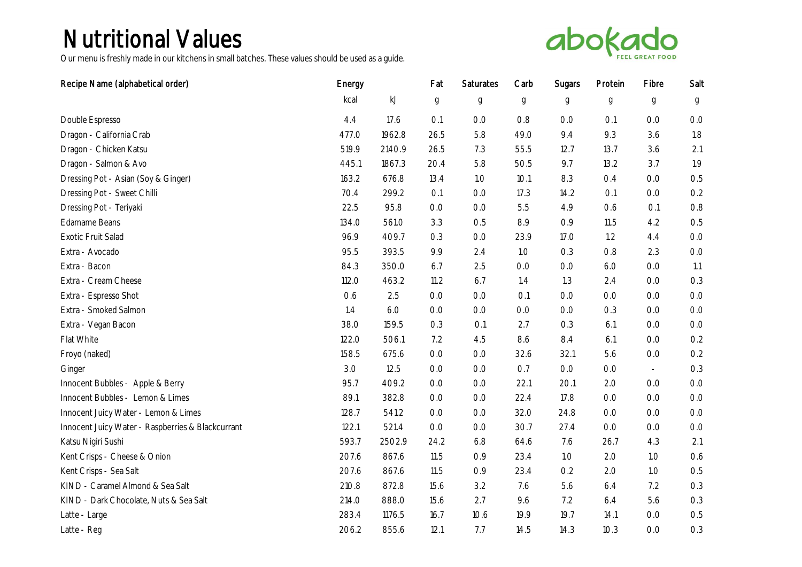

| Recipe Name (alphabetical order)                  | Energy |               | Fat           | Saturates        | Carb | Sugars | Protein          | Fibre            | Salt  |
|---------------------------------------------------|--------|---------------|---------------|------------------|------|--------|------------------|------------------|-------|
|                                                   | kcal   | $\mathsf{kJ}$ | $\mathfrak g$ | $\boldsymbol{g}$ | g    | g      | $\boldsymbol{g}$ | $\boldsymbol{g}$ | g     |
| Double Espresso                                   | 4.4    | 17.6          | O.1           | O.O              | 0.8  | 0.0    | O.1              | O.O              | O.O   |
| Dragon - California Crab                          | 477.O  | 1962.8        | 26.5          | 5.8              | 49.0 | 9.4    | 9.3              | 3.6              | 1.8   |
| Dragon - Chicken Katsu                            | 519.9  | 2140.9        | 26.5          | 7.3              | 55.5 | 12.7   | 13.7             | 3.6              | 2.1   |
| Dragon - Salmon & Avo                             | 445.1  | 1867.3        | 20.4          | 5.8              | 50.5 | 9.7    | 13.2             | 3.7              | 1.9   |
| Dressing Pot - Asian (Soy & Ginger)               | 163.2  | 676.8         | 13.4          | 1.0              | 10.1 | 8.3    | O.4              | 0.0              | 0.5   |
| Dressing Pot - Sweet Chilli                       | 70.4   | 299.2         | O.1           | O.O              | 17.3 | 14.2   | O.1              | O.O              | 0.2   |
| Dressing Pot - Teriyaki                           | 22.5   | 95.8          | 0.0           | O.O              | 5.5  | 4.9    | 0.6              | O.1              | 0.8   |
| Edamame Beans                                     | 134.O  | 561.0         | 3.3           | 0.5              | 8.9  | 0.9    | 11.5             | 4.2              | 0.5   |
| Exotic Fruit Salad                                | 96.9   | 409.7         | 0.3           | O.O              | 23.9 | 17.0   | 1.2              | 4.4              | $O.O$ |
| Extra - Avocado                                   | 95.5   | 393.5         | 9.9           | 2.4              | 1.0  | 0.3    | 0.8              | 2.3              | 0.0   |
| Extra - Bacon                                     | 84.3   | 350.0         | 6.7           | 2.5              | O.O  | 0.0    | 6.0              | O.O              | 1.1   |
| Extra - Cream Cheese                              | 112.O  | 463.2         | 11.2          | 6.7              | 1.4  | 1.3    | 2.4              | $0.0\,$          | 0.3   |
| Extra - Espresso Shot                             | 0.6    | 2.5           | O.O           | O.O              | O.1  | O.O    | O.O              | O.O              | 0.0   |
| Extra - Smoked Salmon                             | 1.4    | 6.0           | O.O           | O.O              | O.O  | O.O    | 0.3              | O.O              | $O.O$ |
| Extra - Vegan Bacon                               | 38.0   | 159.5         | 0.3           | O.1              | 2.7  | 0.3    | 6.1              | O.O              | $O.O$ |
| Flat White                                        | 122.0  | 506.1         | 7.2           | 4.5              | 8.6  | 8.4    | 6.1              | O.O              | 0.2   |
| Froyo (naked)                                     | 158.5  | 675.6         | 0.0           | O.O              | 32.6 | 32.1   | 5.6              | $0.0\,$          | 0.2   |
| Ginger                                            | 3.0    | 12.5          | O.O           | O.O              | O.7  | O.O    | O.O              | $\omega$         | 0.3   |
| Innocent Bubbles - Apple & Berry                  | 95.7   | 409.2         | O.O           | O.O              | 22.1 | 20.1   | 2.0              | 0.0              | 0.0   |
| Innocent Bubbles - Lemon & Limes                  | 89.1   | 382.8         | 0.0           | 0.0              | 22.4 | 17.8   | 0.0              | O.O              | $O.O$ |
| Innocent Juicy Water - Lemon & Limes              | 128.7  | 541.2         | O.O           | O.O              | 32.0 | 24.8   | O.O              | O.O              | O.O   |
| Innocent Juicy Water - Raspberries & Blackcurrant | 122.1  | 521.4         | 0.0           | O.O              | 30.7 | 27.4   | O.O              | O.O              | $O.O$ |
| Katsu Nigiri Sushi                                | 593.7  | 2502.9        | 24.2          | 6.8              | 64.6 | 7.6    | 26.7             | 4.3              | 2.1   |
| Kent Crisps - Cheese & Onion                      | 207.6  | 867.6         | 11.5          | 0.9              | 23.4 | 1.0    | 2.0              | 1.0              | 0.6   |
| Kent Crisps - Sea Salt                            | 207.6  | 867.6         | 11.5          | 0.9              | 23.4 | 0.2    | 2.0              | 1.0              | 0.5   |
| KIND - Caramel Almond & Sea Salt                  | 210.8  | 872.8         | 15.6          | 3.2              | 7.6  | 5.6    | 6.4              | 7.2              | 0.3   |
| KIND - Dark Chocolate, Nuts & Sea Salt            | 214.O  | 888.0         | 15.6          | 2.7              | 9.6  | 7.2    | 6.4              | 5.6              | 0.3   |
| Latte - Large                                     | 283.4  | 1176.5        | 16.7          | 10.6             | 19.9 | 19.7   | 14.1             | O.O              | 0.5   |
| Latte - Reg                                       | 206.2  | 855.6         | 12.1          | 7.7              | 14.5 | 14.3   | 10.3             | 0.0              | 0.3   |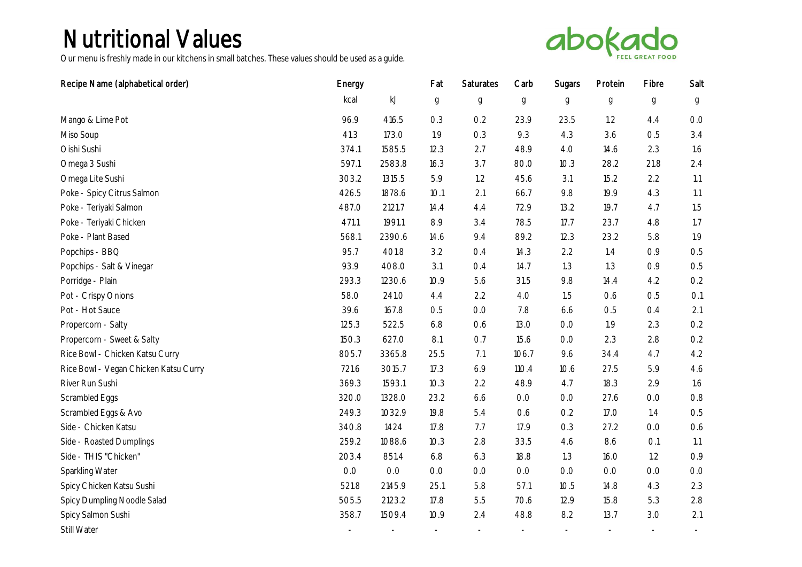

| Recipe Name (alphabetical order)      | Energy |        | Fat           | Saturates   | Carb        | Sugars      | Protein     | Fibre       | Salt |
|---------------------------------------|--------|--------|---------------|-------------|-------------|-------------|-------------|-------------|------|
|                                       | kcal   | kJ     | $\mathfrak g$ | $\mathsf g$ | $\mathbf g$ | $\mathbf g$ | $\mathsf g$ | $\mathbf g$ | g    |
| Mango & Lime Pot                      | 96.9   | 416.5  | 0.3           | 0.2         | 23.9        | 23.5        | 1.2         | 4.4         | 0.0  |
| Miso Soup                             | 41.3   | 173.0  | 1.9           | 0.3         | 9.3         | 4.3         | 3.6         | 0.5         | 3.4  |
| Oishi Sushi                           | 374.1  | 1585.5 | 12.3          | 2.7         | 48.9        | 4.0         | 14.6        | 2.3         | 1.6  |
| Omega 3 Sushi                         | 597.1  | 2583.8 | 16.3          | 3.7         | 80.0        | 10.3        | 28.2        | 21.8        | 2.4  |
| Omega Lite Sushi                      | 303.2  | 1315.5 | 5.9           | 1.2         | 45.6        | 3.1         | 15.2        | 2.2         | 1.1  |
| Poke - Spicy Citrus Salmon            | 426.5  | 1878.6 | 10.1          | 2.1         | 66.7        | 9.8         | 19.9        | 4.3         | 1.1  |
| Poke - Teriyaki Salmon                | 487.0  | 2121.7 | 14.4          | 4.4         | 72.9        | 13.2        | 19.7        | 4.7         | 1.5  |
| Poke - Teriyaki Chicken               | 471.1  | 1991.1 | 8.9           | 3.4         | 78.5        | 17.7        | 23.7        | 4.8         | 1.7  |
| Poke - Plant Based                    | 568.1  | 2390.6 | 14.6          | 9.4         | 89.2        | 12.3        | 23.2        | 5.8         | 1.9  |
| Popchips - BBQ                        | 95.7   | 401.8  | 3.2           | 0.4         | 14.3        | 2.2         | 1.4         | 0.9         | 0.5  |
| Popchips - Salt & Vinegar             | 93.9   | 408.0  | 3.1           | 0.4         | 14.7        | 1.3         | 1.3         | 0.9         | 0.5  |
| Porridge - Plain                      | 293.3  | 1230.6 | 10.9          | 5.6         | 31.5        | 9.8         | 14.4        | 4.2         | 0.2  |
| Pot - Crispy Onions                   | 58.0   | 241.0  | 4.4           | 2.2         | 4.0         | 1.5         | 0.6         | 0.5         | O.1  |
| Pot - Hot Sauce                       | 39.6   | 167.8  | 0.5           | 0.0         | 7.8         | 6.6         | 0.5         | 0.4         | 2.1  |
| Propercorn - Salty                    | 125.3  | 522.5  | 6.8           | 0.6         | 13.0        | 0.0         | 1.9         | 2.3         | 0.2  |
| Propercorn - Sweet & Salty            | 150.3  | 627.0  | 8.1           | O.7         | 15.6        | 0.0         | 2.3         | 2.8         | 0.2  |
| Rice Bowl - Chicken Katsu Curry       | 805.7  | 3365.8 | 25.5          | 7.1         | 106.7       | 9.6         | 34.4        | 4.7         | 4.2  |
| Rice Bowl - Vegan Chicken Katsu Curry | 721.6  | 3015.7 | 17.3          | 6.9         | 110.4       | 10.6        | 27.5        | 5.9         | 4.6  |
| River Run Sushi                       | 369.3  | 1593.1 | 10.3          | 2.2         | 48.9        | 4.7         | 18.3        | 2.9         | 1.6  |
| Scrambled Eggs                        | 320.0  | 1328.0 | 23.2          | 6.6         | O.O         | 0.0         | 27.6        | 0.0         | 0.8  |
| Scrambled Eggs & Avo                  | 249.3  | 1032.9 | 19.8          | 5.4         | 0.6         | 0.2         | 17.0        | 1.4         | 0.5  |
| Side - Chicken Katsu                  | 340.8  | 1424   | 17.8          | 7.7         | 17.9        | 0.3         | 27.2        | 0.0         | 0.6  |
| Side - Roasted Dumplings              | 259.2  | 1088.6 | 10.3          | 2.8         | 33.5        | 4.6         | 8.6         | O.1         | 1.1  |
| Side - THIS "Chicken"                 | 203.4  | 851.4  | 6.8           | 6.3         | 18.8        | 1.3         | 16.0        | 1.2         | 0.9  |
| Sparkling Water                       | O.O    | O.O    | O.O           | O.O         | O.O         | 0.0         | O.O         | O.O         | O.O  |
| Spicy Chicken Katsu Sushi             | 521.8  | 2145.9 | 25.1          | 5.8         | 57.1        | 10.5        | 14.8        | 4.3         | 2.3  |
| Spicy Dumpling Noodle Salad           | 505.5  | 2123.2 | 17.8          | 5.5         | 70.6        | 12.9        | 15.8        | 5.3         | 2.8  |
| Spicy Salmon Sushi                    | 358.7  | 1509.4 | 10.9          | 2.4         | 48.8        | 8.2         | 13.7        | 3.0         | 2.1  |
| Still Water                           |        |        |               |             |             |             |             |             |      |